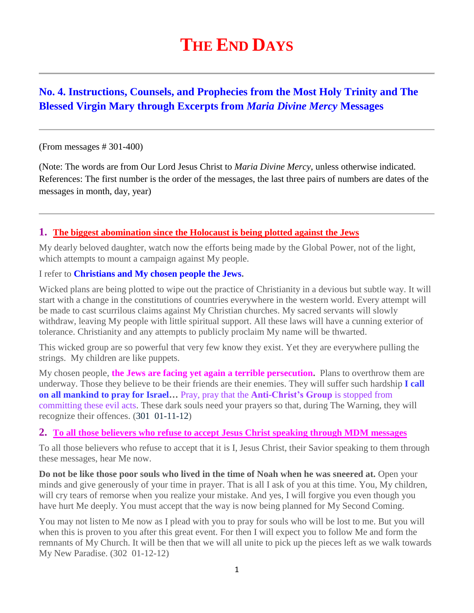# **THE END DAYS**

# **No. 4. Instructions, Counsels, and Prophecies from the Most Holy Trinity and The Blessed Virgin Mary through Excerpts from** *Maria Divine Mercy* **Messages**

#### (From messages # 301-400)

(Note: The words are from Our Lord Jesus Christ to *Maria Divine Mercy*, unless otherwise indicated. References: The first number is the order of the messages, the last three pairs of numbers are dates of the messages in month, day, year)

### **1. [The biggest abomination since the Holocaust is being plotted against the Jews](http://www.thewarningsecondcoming.com/the-biggest-abomination-since-the-holocaust-is-being-plotted-against-the-jews/)**

My dearly beloved daughter, watch now the efforts being made by the Global Power, not of the light, which attempts to mount a campaign against My people.

#### I refer to **Christians and My chosen people the Jews.**

Wicked plans are being plotted to wipe out the practice of Christianity in a devious but subtle way. It will start with a change in the constitutions of countries everywhere in the western world. Every attempt will be made to cast scurrilous claims against My Christian churches. My sacred servants will slowly withdraw, leaving My people with little spiritual support. All these laws will have a cunning exterior of tolerance. Christianity and any attempts to publicly proclaim My name will be thwarted.

This wicked group are so powerful that very few know they exist. Yet they are everywhere pulling the strings. My children are like puppets.

My chosen people, **the Jews are facing yet again a terrible persecution.** Plans to overthrow them are underway. Those they believe to be their friends are their enemies. They will suffer such hardship **I call on all mankind to pray for Israel…** Pray, pray that the **Anti-Christ's Group** is stopped from committing these evil acts. These dark souls need your prayers so that, during The Warning, they will recognize their offences. (301 01-11-12)

#### **2. To all those believers who refuse to accept Jesus Christ speaking through MDM messages**

To all those believers who refuse to accept that it is I, Jesus Christ, their Savior speaking to them through these messages, hear Me now.

**Do not be like those poor souls who lived in the time of Noah when he was sneered at.** Open your minds and give generously of your time in prayer. That is all I ask of you at this time. You, My children, will cry tears of remorse when you realize your mistake. And yes, I will forgive you even though you have hurt Me deeply. You must accept that the way is now being planned for My Second Coming.

You may not listen to Me now as I plead with you to pray for souls who will be lost to me. But you will when this is proven to you after this great event. For then I will expect you to follow Me and form the remnants of My Church. It will be then that we will all unite to pick up the pieces left as we walk towards My New Paradise. (302 01-12-12)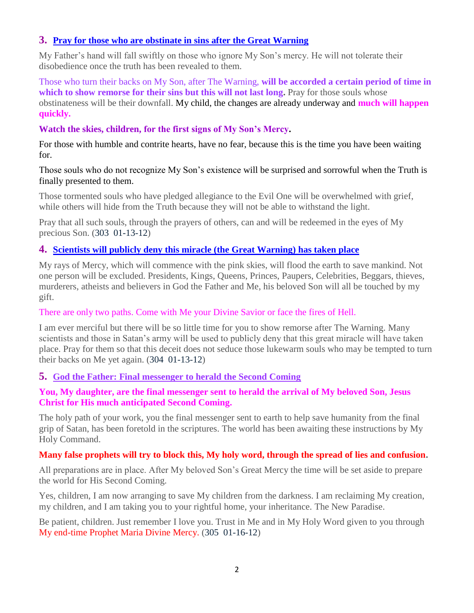### **3. Pray for those who are obstinate in sins after the Great Warning**

My Father's hand will fall swiftly on those who ignore My Son's mercy. He will not tolerate their disobedience once the truth has been revealed to them.

Those who turn their backs on My Son, after The Warning, **will be accorded a certain period of time in**  which to show remorse for their sins but this will not last long. Pray for those souls whose obstinateness will be their downfall. My child, the changes are already underway and **much will happen quickly.**

### **Watch the skies, children, for the first signs of My Son's Mercy.**

For those with humble and contrite hearts, have no fear, because this is the time you have been waiting for.

### Those souls who do not recognize My Son's existence will be surprised and sorrowful when the Truth is finally presented to them.

Those tormented souls who have pledged allegiance to the Evil One will be overwhelmed with grief, while others will hide from the Truth because they will not be able to withstand the light.

Pray that all such souls, through the prayers of others, can and will be redeemed in the eyes of My precious Son. (303 01-13-12)

# **4. [Scientists will publicly deny this miracle \(the Great Warning\)](http://www.thewarningsecondcoming.com/scientists-will-publicly-deny-this-miracle-has-taken-place/) has taken place**

My rays of Mercy, which will commence with the pink skies, will flood the earth to save mankind. Not one person will be excluded. Presidents, Kings, Queens, Princes, Paupers, Celebrities, Beggars, thieves, murderers, atheists and believers in God the Father and Me, his beloved Son will all be touched by my gift.

### There are only two paths. Come with Me your Divine Savior or face the fires of Hell.

I am ever merciful but there will be so little time for you to show remorse after The Warning. Many scientists and those in Satan's army will be used to publicly deny that this great miracle will have taken place. Pray for them so that this deceit does not seduce those lukewarm souls who may be tempted to turn their backs on Me yet again. (304 01-13-12)

### **5. [God the Father: Final messenger to herald the Second Coming](http://www.thewarningsecondcoming.com/god-the-father-the-last-end-time-prophet/)**

### **You, My daughter, are the final messenger sent to herald the arrival of My beloved Son, Jesus Christ for His much anticipated Second Coming.**

The holy path of your work, you the final messenger sent to earth to help save humanity from the final grip of Satan, has been foretold in the scriptures. The world has been awaiting these instructions by My Holy Command.

### **Many false prophets will try to block this, My holy word, through the spread of lies and confusion.**

All preparations are in place. After My beloved Son's Great Mercy the time will be set aside to prepare the world for His Second Coming.

Yes, children, I am now arranging to save My children from the darkness. I am reclaiming My creation, my children, and I am taking you to your rightful home, your inheritance. The New Paradise.

Be patient, children. Just remember I love you. Trust in Me and in My Holy Word given to you through My end-time Prophet Maria Divine Mercy. (305 01-16-12)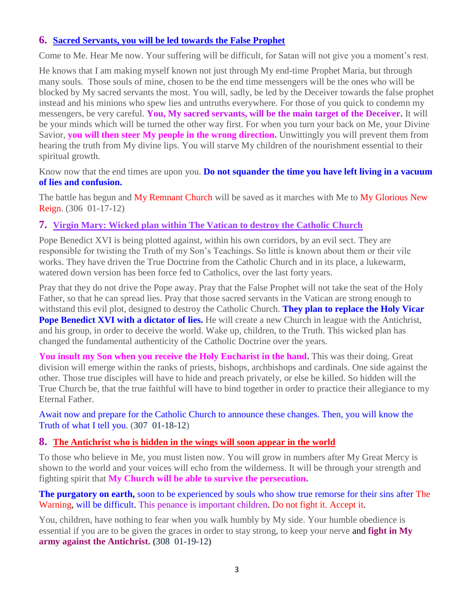### **6. Sacred Servants, you will be led towards the False Prophet**

Come to Me. Hear Me now. Your suffering will be difficult, for Satan will not give you a moment's rest.

He knows that I am making myself known not just through My end-time Prophet Maria, but through many souls. Those souls of mine, chosen to be the end time messengers will be the ones who will be blocked by My sacred servants the most. You will, sadly, be led by the Deceiver towards the false prophet instead and his minions who spew lies and untruths everywhere. For those of you quick to condemn my messengers, be very careful. **You, My sacred servants, will be the main target of the Deceiver.** It will be your minds which will be turned the other way first. For when you turn your back on Me, your Divine Savior, **you will then steer My people in the wrong direction.** Unwittingly you will prevent them from hearing the truth from My divine lips. You will starve My children of the nourishment essential to their spiritual growth.

Know now that the end times are upon you. **Do not squander the time you have left living in a vacuum of lies and confusion.**

The battle has begun and My Remnant Church will be saved as it marches with Me to My Glorious New Reign. (306 01-17-12)

### **7. Virgin Mary: Wicked plan within [The Vatican to destroy the Catholic Church](http://www.thewarningsecondcoming.com/virgin-mary-wicked-plan-within-the-vatican-to-destroy-the-catholic-church/)**

Pope Benedict XVI is being plotted against, within his own corridors, by an evil sect. They are responsible for twisting the Truth of my Son's Teachings. So little is known about them or their vile works. They have driven the True Doctrine from the Catholic Church and in its place, a lukewarm, watered down version has been force fed to Catholics, over the last forty years.

Pray that they do not drive the Pope away. Pray that the False Prophet will not take the seat of the Holy Father, so that he can spread lies. Pray that those sacred servants in the Vatican are strong enough to withstand this evil plot, designed to destroy the Catholic Church. **They plan to replace the Holy Vicar Pope Benedict XVI with a dictator of lies.** He will create a new Church in league with the Antichrist, and his group, in order to deceive the world. Wake up, children, to the Truth. This wicked plan has changed the fundamental authenticity of the Catholic Doctrine over the years.

**You insult my Son when you receive the Holy Eucharist in the hand.** This was their doing. Great division will emerge within the ranks of priests, bishops, archbishops and cardinals. One side against the other. Those true disciples will have to hide and preach privately, or else be killed. So hidden will the True Church be, that the true faithful will have to bind together in order to practice their allegiance to my Eternal Father.

Await now and prepare for the Catholic Church to announce these changes. Then, you will know the Truth of what I tell you. (307 01-18-12)

### **8. The [Antichrist who is hidden in the wings will soon appear in the world](http://www.thewarningsecondcoming.com/anti-christ-who-is-hidden-in-the-wings-will-soon-appear-in-the-world/)**

To those who believe in Me, you must listen now. You will grow in numbers after My Great Mercy is shown to the world and your voices will echo from the wilderness. It will be through your strength and fighting spirit that **My Church will be able to survive the persecution.**

**The purgatory on earth,** soon to be experienced by souls who show true remorse for their sins after The Warning, will be difficult. This penance is important children. Do not fight it. Accept it.

You, children, have nothing to fear when you walk humbly by My side. Your humble obedience is essential if you are to be given the graces in order to stay strong, to keep your nerve and **fight in My army against the Antichrist. (**308 01-19-12**)**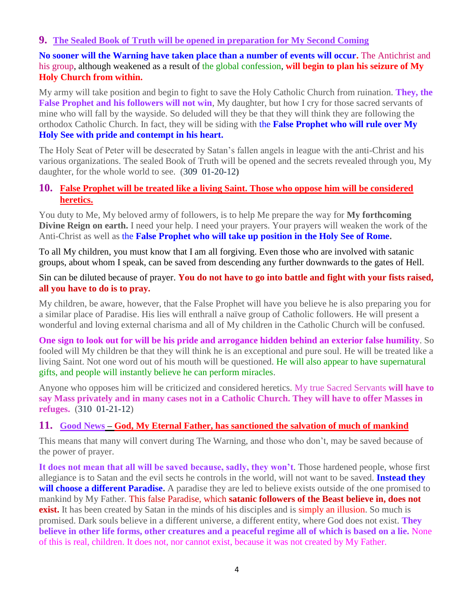### **9. [The Sealed Book of Truth will be opened in preparation for My Second Coming](http://www.thewarningsecondcoming.com/the-sealed-book-of-truth-will-be-opened-in-preparation-for-my-second-coming/)**

**No sooner will the Warning have taken place than a number of events will occur.** The Antichrist and his group, although weakened as a result of the global confession, **will begin to plan his seizure of My Holy Church from within.**

My army will take position and begin to fight to save the Holy Catholic Church from ruination. **They, the False Prophet and his followers will not win**, My daughter, but how I cry for those sacred servants of mine who will fall by the wayside. So deluded will they be that they will think they are following the orthodox Catholic Church. In fact, they will be siding with the **False Prophet who will rule over My Holy See with pride and contempt in his heart.**

The Holy Seat of Peter will be desecrated by Satan's fallen angels in league with the anti-Christ and his various organizations. The sealed Book of Truth will be opened and the secrets revealed through you, My daughter, for the whole world to see. (309 01-20-12**)**

### **10. [False Prophet will be treated like a living Saint. Those who oppose him will be considered](http://www.thewarningsecondcoming.com/false-prophet-will-be-treated-like-a-living-saint-those-who-oppose-him-will-be-considered-a-heretic/)  [heretics.](http://www.thewarningsecondcoming.com/false-prophet-will-be-treated-like-a-living-saint-those-who-oppose-him-will-be-considered-a-heretic/)**

You duty to Me, My beloved army of followers, is to help Me prepare the way for **My forthcoming Divine Reign on earth.** I need your help. I need your prayers. Your prayers will weaken the work of the Anti-Christ as well as the **False Prophet who will take up position in the Holy See of Rome.**

To all My children, you must know that I am all forgiving. Even those who are involved with satanic groups, about whom I speak, can be saved from descending any further downwards to the gates of Hell.

#### Sin can be diluted because of prayer. **You do not have to go into battle and fight with your fists raised, all you have to do is to pray.**

My children, be aware, however, that the False Prophet will have you believe he is also preparing you for a similar place of Paradise. His lies will enthrall a naïve group of Catholic followers. He will present a wonderful and loving external charisma and all of My children in the Catholic Church will be confused.

**One sign to look out for will be his pride and arrogance hidden behind an exterior false humility**. So fooled will My children be that they will think he is an exceptional and pure soul. He will be treated like a living Saint. Not one word out of his mouth will be questioned. He will also appear to have supernatural gifts, and people will instantly believe he can perform miracles.

Anyone who opposes him will be criticized and considered heretics. My true Sacred Servants **will have to say Mass privately and in many cases not in a Catholic Church. They will have to offer Masses in refuges.** (310 01-21-12)

### **11. Good News – [God, My Eternal Father, has sanctioned the salvation of much of mankind](http://www.thewarningsecondcoming.com/good-news-god-my-eternal-father-has-sanctioned-the-salvation-of-much-of-mankind/)**

This means that many will convert during The Warning, and those who don't, may be saved because of the power of prayer.

**It does not mean that all will be saved because, sadly, they won't**. Those hardened people, whose first allegiance is to Satan and the evil sects he controls in the world, will not want to be saved. **Instead they**  will choose a different Paradise. A paradise they are led to believe exists outside of the one promised to mankind by My Father. This false Paradise, which **satanic followers of the Beast believe in, does not exist.** It has been created by Satan in the minds of his disciples and is simply an illusion. So much is promised. Dark souls believe in a different universe, a different entity, where God does not exist. **They believe in other life forms, other creatures and a peaceful regime all of which is based on a lie.** None of this is real, children. It does not, nor cannot exist, because it was not created by My Father.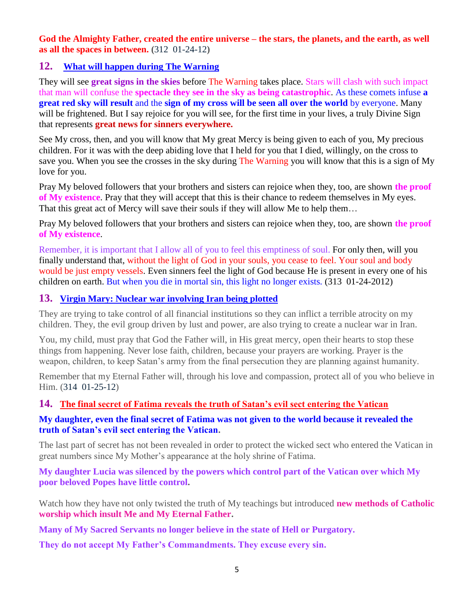**God the Almighty Father, created the entire universe – the stars, the planets, and the earth, as well as all the spaces in between. (**312 01-24-12**)**

### **12. [What will happen during The Warning](http://www.thewarningsecondcoming.com/what-will-happen-during-the-warning/)**

They will see **great signs in the skies** before The Warning takes place. Stars will clash with such impact that man will confuse the **spectacle they see in the sky as being catastrophic**. As these comets infuse **a great red sky will result** and the **sign of my cross will be seen all over the world** by everyone. Many will be frightened. But I say rejoice for you will see, for the first time in your lives, a truly Divine Sign that represents **great news for sinners everywhere.**

See My cross, then, and you will know that My great Mercy is being given to each of you, My precious children. For it was with the deep abiding love that I held for you that I died, willingly, on the cross to save you. When you see the crosses in the sky during The Warning you will know that this is a sign of My love for you.

Pray My beloved followers that your brothers and sisters can rejoice when they, too, are shown **the proof of My existence**. Pray that they will accept that this is their chance to redeem themselves in My eyes. That this great act of Mercy will save their souls if they will allow Me to help them…

Pray My beloved followers that your brothers and sisters can rejoice when they, too, are shown **the proof of My existence**.

Remember, it is important that I allow all of you to feel this emptiness of soul. For only then, will you finally understand that, without the light of God in your souls, you cease to feel. Your soul and body would be just empty vessels. Even sinners feel the light of God because He is present in every one of his children on earth. But when you die in mortal sin, this light no longer exists. (313 01-24-2012)

### **13. [Virgin Mary: Nuclear war involving Iran being plotted](http://www.thewarningsecondcoming.com/virgin-mary-nuclear-war-involving-iran-being-plotted/)**

They are trying to take control of all financial institutions so they can inflict a terrible atrocity on my children. They, the evil group driven by lust and power, are also trying to create a nuclear war in Iran.

You, my child, must pray that God the Father will, in His great mercy, open their hearts to stop these things from happening. Never lose faith, children, because your prayers are working. Prayer is the weapon, children, to keep Satan's army from the final persecution they are planning against humanity.

Remember that my Eternal Father will, through his love and compassion, protect all of you who believe in Him. (314 01-25-12)

### **14. [The final secret of Fatima reveals the truth of Satan's evil sect entering the Vatican](http://www.thewarningsecondcoming.com/the-final-secret-of-fatima-reveals-the-truth-of-satans-evil-sect-entering-the-vatican/)**

#### **My daughter, even the final secret of Fatima was not given to the world because it revealed the truth of Satan's evil sect entering the Vatican.**

The last part of secret has not been revealed in order to protect the wicked sect who entered the Vatican in great numbers since My Mother's appearance at the holy shrine of Fatima.

**My daughter Lucia was silenced by the powers which control part of the Vatican over which My poor beloved Popes have little control.**

Watch how they have not only twisted the truth of My teachings but introduced **new methods of Catholic worship which insult Me and My Eternal Father.**

**Many of My Sacred Servants no longer believe in the state of Hell or Purgatory.**

**They do not accept My Father's Commandments. They excuse every sin.**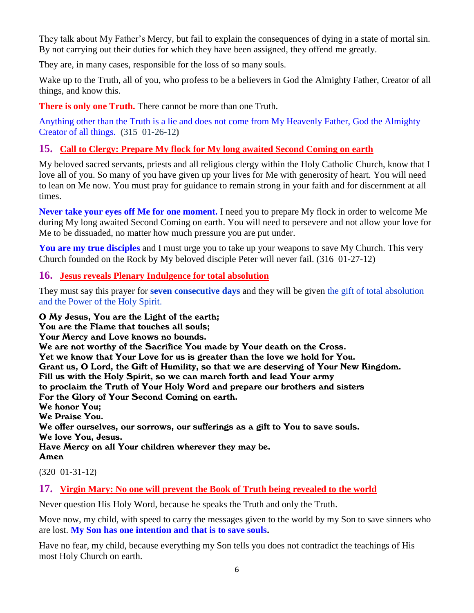They talk about My Father's Mercy, but fail to explain the consequences of dying in a state of mortal sin. By not carrying out their duties for which they have been assigned, they offend me greatly.

They are, in many cases, responsible for the loss of so many souls.

Wake up to the Truth, all of you, who profess to be a believers in God the Almighty Father, Creator of all things, and know this.

**There is only one Truth.** There cannot be more than one Truth.

Anything other than the Truth is a lie and does not come from My Heavenly Father, God the Almighty Creator of all things. **(**315 01-26-12**)**

# **15. [Call to Clergy: Prepare My flock for My long awaited Second Coming on earth](http://www.thewarningsecondcoming.com/call-to-clergy-prepare-my-flock-for-my-long-awaited-second-coming-on-earth/)**

My beloved sacred servants, priests and all religious clergy within the Holy Catholic Church, know that I love all of you. So many of you have given up your lives for Me with generosity of heart. You will need to lean on Me now. You must pray for guidance to remain strong in your faith and for discernment at all times.

**Never take your eyes off Me for one moment.** I need you to prepare My flock in order to welcome Me during My long awaited Second Coming on earth. You will need to persevere and not allow your love for Me to be dissuaded, no matter how much pressure you are put under.

**You are my true disciples** and I must urge you to take up your weapons to save My Church. This very Church founded on the Rock by My beloved disciple Peter will never fail. (316 01-27-12)

### **16. [Jesus reveals Plenary Indulgence for total absolution](http://www.thewarningsecondcoming.com/jesus-reveals-plenary-indulgence-for-total-absolution/)**

They must say this prayer for **seven consecutive days** and they will be given the gift of total absolution and the Power of the Holy Spirit.

O My Jesus, You are the Light of the earth;

You are the Flame that touches all souls;

Your Mercy and Love knows no bounds.

We are not worthy of the Sacrifice You made by Your death on the Cross.

Yet we know that Your Love for us is greater than the love we hold for You.

Grant us, O Lord, the Gift of Humility, so that we are deserving of Your New Kingdom.

Fill us with the Holy Spirit, so we can march forth and lead Your army

to proclaim the Truth of Your Holy Word and prepare our brothers and sisters

For the Glory of Your Second Coming on earth.

We honor You;

We Praise You.

We offer ourselves, our sorrows, our sufferings as a gift to You to save souls. We love You, Jesus.

Have Mercy on all Your children wherever they may be.

Amen

(320 01-31-12)

### **17. [Virgin Mary: No one will prevent the Book of Truth being revealed to the world](http://www.thewarningsecondcoming.com/virgin-mary-no-one-will-prevent-the-book-of-truth-being-revealed-to-the-world/)**

Never question His Holy Word, because he speaks the Truth and only the Truth.

Move now, my child, with speed to carry the messages given to the world by my Son to save sinners who are lost. **My Son has one intention and that is to save souls.**

Have no fear, my child, because everything my Son tells you does not contradict the teachings of His most Holy Church on earth.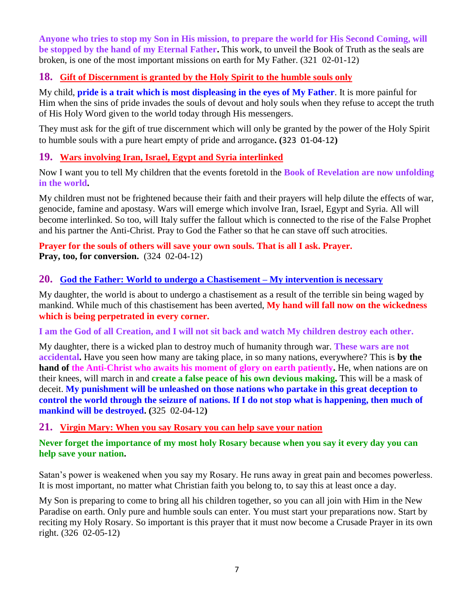**Anyone who tries to stop my Son in His mission, to prepare the world for His Second Coming, will be stopped by the hand of my Eternal Father.** This work, to unveil the Book of Truth as the seals are broken, is one of the most important missions on earth for My Father. (321 02-01-12)

### **18. Gift of Discernment is granted by the Holy Spirit to the humble souls only**

My child, **pride is a trait which is most displeasing in the eyes of My Father**. It is more painful for Him when the sins of pride invades the souls of devout and holy souls when they refuse to accept the truth of His Holy Word given to the world today through His messengers.

They must ask for the gift of true discernment which will only be granted by the power of the Holy Spirit to humble souls with a pure heart empty of pride and arrogance**. (**323 01-04-12**)**

## **19. [Wars involving Iran, Israel, Egypt and Syria interlinked](http://www.thewarningsecondcoming.com/wars-involving-iran-israel-egypt-and-syria-interlinked/)**

Now I want you to tell My children that the events foretold in the **Book of Revelation are now unfolding in the world.**

My children must not be frightened because their faith and their prayers will help dilute the effects of war, genocide, famine and apostasy. Wars will emerge which involve Iran, Israel, Egypt and Syria. All will become interlinked. So too, will Italy suffer the fallout which is connected to the rise of the False Prophet and his partner the Anti-Christ. Pray to God the Father so that he can stave off such atrocities.

### **Prayer for the souls of others will save your own souls. That is all I ask. Prayer. Pray, too, for conversion.** (324 02-04-12)

### **20. [God the Father: World to undergo a Chastisement –](http://www.thewarningsecondcoming.com/god-the-father-world-to-undergo-a-chastisement-my-intervention-is-necessary/) My intervention is necessary**

My daughter, the world is about to undergo a chastisement as a result of the terrible sin being waged by mankind. While much of this chastisement has been averted, **My hand will fall now on the wickedness which is being perpetrated in every corner.**

**I am the God of all Creation, and I will not sit back and watch My children destroy each other.**

My daughter, there is a wicked plan to destroy much of humanity through war. **These wars are not accidental.** Have you seen how many are taking place, in so many nations, everywhere? This is **by the hand of the Anti-Christ who awaits his moment of glory on earth patiently.** He, when nations are on their knees, will march in and **create a false peace of his own devious making.** This will be a mask of deceit. **My punishment will be unleashed on those nations who partake in this great deception to control the world through the seizure of nations. If I do not stop what is happening, then much of mankind will be destroyed. (**325 02-04-12**)**

### **21. [Virgin Mary: When you say Rosary you can help save your nation](http://www.thewarningsecondcoming.com/virgin-mary-when-you-say-rosary-you-can-help-save-your-nation/)**

### **Never forget the importance of my most holy Rosary because when you say it every day you can help save your nation.**

Satan's power is weakened when you say my Rosary. He runs away in great pain and becomes powerless. It is most important, no matter what Christian faith you belong to, to say this at least once a day.

My Son is preparing to come to bring all his children together, so you can all join with Him in the New Paradise on earth. Only pure and humble souls can enter. You must start your preparations now. Start by reciting my Holy Rosary. So important is this prayer that it must now become a Crusade Prayer in its own right. (326 02-05-12)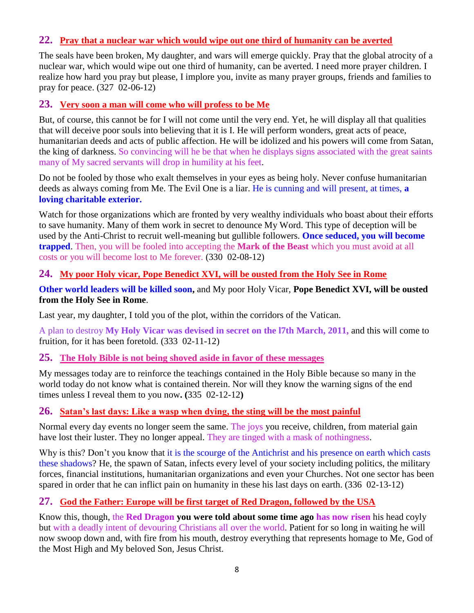## **22. [Pray that a nuclear war which would wipe out one third of humanity can be averted](http://www.thewarningsecondcoming.com/pray-that-a-nuclear-war-which-would-wipe-out-one-third-of-humanity-can-be-averted/)**

The seals have been broken, My daughter, and wars will emerge quickly. Pray that the global atrocity of a nuclear war, which would wipe out one third of humanity, can be averted. I need more prayer children. I realize how hard you pray but please, I implore you, invite as many prayer groups, friends and families to pray for peace. (327 02-06-12)

## **23. [Very soon a man will come who will profess to be Me](http://www.thewarningsecondcoming.com/very-soon-a-man-will-come-who-will-profess-to-be-me/)**

But, of course, this cannot be for I will not come until the very end. Yet, he will display all that qualities that will deceive poor souls into believing that it is I. He will perform wonders, great acts of peace, humanitarian deeds and acts of public affection. He will be idolized and his powers will come from Satan, the king of darkness. So convincing will he be that when he displays signs associated with the great saints many of My sacred servants will drop in humility at his feet.

Do not be fooled by those who exalt themselves in your eyes as being holy. Never confuse humanitarian deeds as always coming from Me. The Evil One is a liar. He is cunning and will present, at times, **a loving charitable exterior.**

Watch for those organizations which are fronted by very wealthy individuals who boast about their efforts to save humanity. Many of them work in secret to denounce My Word. This type of deception will be used by the Anti-Christ to recruit well-meaning but gullible followers. **Once seduced, you will become trapped**. Then, you will be fooled into accepting the **Mark of the Beast** which you must avoid at all costs or you will become lost to Me forever. (330 02-08-12)

### **24. [My poor Holy vicar, Pope Benedict XVI, will be ousted from the Holy See in Rome](http://www.thewarningsecondcoming.com/my-poor-holy-vicar-pope-benedict-xvi-will-be-ousted-from-the-holy-see-in-rome/)**

**Other world leaders will be killed soon,** and My poor Holy Vicar, **Pope Benedict XVI, will be ousted from the Holy See in Rome**.

Last year, my daughter, I told you of the plot, within the corridors of the Vatican.

A plan to destroy **My Holy Vicar was devised in secret on the l7th March, 2011,** and this will come to fruition, for it has been foretold. (333 02-11-12)

### **25. [The Holy Bible is not being shoved aside in favor of these messages](http://www.thewarningsecondcoming.com/the-holy-bible-is-not-being-shoved-aside-in-favour-of-these-messages/)**

My messages today are to reinforce the teachings contained in the Holy Bible because so many in the world today do not know what is contained therein. Nor will they know the warning signs of the end times unless I reveal them to you now**. (**335 02-12-12**)**

### **26. [Satan's last days: Like a wasp when dying,](http://www.thewarningsecondcoming.com/satans-last-days-like-a-wasp-when-dying-the-sting-will-be-the-most-painful/) the sting will be the most painful**

Normal every day events no longer seem the same. The joys you receive, children, from material gain have lost their luster. They no longer appeal. They are tinged with a mask of nothingness.

Why is this? Don't you know that it is the scourge of the Antichrist and his presence on earth which casts these shadows? He, the spawn of Satan, infects every level of your society including politics, the military forces, financial institutions, humanitarian organizations and even your Churches. Not one sector has been spared in order that he can inflict pain on humanity in these his last days on earth. (336 02-13-12)

# **27. [God the Father: Europe will be first target of Red Dragon,](http://www.thewarningsecondcoming.com/god-the-father-europe-will-be-first-target-of-red-dragon-followed-by-the-usa/) followed by the USA**

Know this, though, the **Red Dragon you were told about some time ago has now risen** his head coyly but with a deadly intent of devouring Christians all over the world. Patient for so long in waiting he will now swoop down and, with fire from his mouth, destroy everything that represents homage to Me, God of the Most High and My beloved Son, Jesus Christ.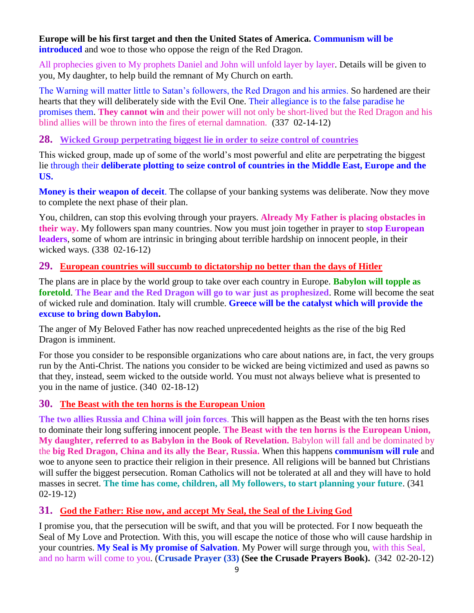#### **Europe will be his first target and then the United States of America. Communism will be introduced** and woe to those who oppose the reign of the Red Dragon.

All prophecies given to My prophets Daniel and John will unfold layer by layer. Details will be given to you, My daughter, to help build the remnant of My Church on earth.

The Warning will matter little to Satan's followers, the Red Dragon and his armies. So hardened are their hearts that they will deliberately side with the Evil One. Their allegiance is to the false paradise he promises them. **They cannot win** and their power will not only be short-lived but the Red Dragon and his blind allies will be thrown into the fires of eternal damnation. (337 02-14-12)

### **28. [Wicked Group perpetrating biggest lie in order to seize control of countries](http://www.thewarningsecondcoming.com/wicked-group-perpetrating-biggest-lie-in-order-to-seize-control-of-countries/)**

This wicked group, made up of some of the world's most powerful and elite are perpetrating the biggest lie through their **deliberate plotting to seize control of countries in the Middle East, Europe and the US.**

**Money is their weapon of deceit**. The collapse of your banking systems was deliberate. Now they move to complete the next phase of their plan.

You, children, can stop this evolving through your prayers. **Already My Father is placing obstacles in their way.** My followers span many countries. Now you must join together in prayer to **stop European leaders**, some of whom are intrinsic in bringing about terrible hardship on innocent people, in their wicked ways. (338 02-16-12)

### **29. [European countries will succumb to dictatorship no better than the days of Hitler](http://www.thewarningsecondcoming.com/european-countries-will-succumb-to-dictatorship-no-better-than-the-days-of-hitler/)**

The plans are in place by the world group to take over each country in Europe. **Babylon will topple as foretold**. **The Bear and the Red Dragon will go to war just as prophesized**. Rome will become the seat of wicked rule and domination. Italy will crumble. **Greece will be the catalyst which will provide the excuse to bring down Babylon.**

The anger of My Beloved Father has now reached unprecedented heights as the rise of the big Red Dragon is imminent.

For those you consider to be responsible organizations who care about nations are, in fact, the very groups run by the Anti-Christ. The nations you consider to be wicked are being victimized and used as pawns so that they, instead, seem wicked to the outside world. You must not always believe what is presented to you in the name of justice. (340 02-18-12)

### **30. [The Beast with the ten horns is the European Union](http://www.thewarningsecondcoming.com/the-beast-with-the-ten-horns-is-the-european-union/)**

**The two allies Russia and China will join forces**. This will happen as the Beast with the ten horns rises to dominate their long suffering innocent people. **The Beast with the ten horns is the European Union, My daughter, referred to as Babylon in the Book of Revelation.** Babylon will fall and be dominated by the **big Red Dragon, China and its ally the Bear, Russia.** When this happens **communism will rule** and woe to anyone seen to practice their religion in their presence. All religions will be banned but Christians will suffer the biggest persecution. Roman Catholics will not be tolerated at all and they will have to hold masses in secret. **The time has come, children, all My followers, to start planning your future**. (341 02-19-12)

### **31. [God the Father: Rise now, and accept My Seal, the Seal of the Living God](http://www.thewarningsecondcoming.com/god-the-father-rise-now-and-accept-my-seal-the-seal-of-the-living-god/)**

I promise you, that the persecution will be swift, and that you will be protected. For I now bequeath the Seal of My Love and Protection. With this, you will escape the notice of those who will cause hardship in your countries. **My Seal is My promise of Salvation**. My Power will surge through you, with this Seal, and no harm will come to you. (**Crusade Prayer (33) (See the Crusade Prayers Book).** (342 02-20-12)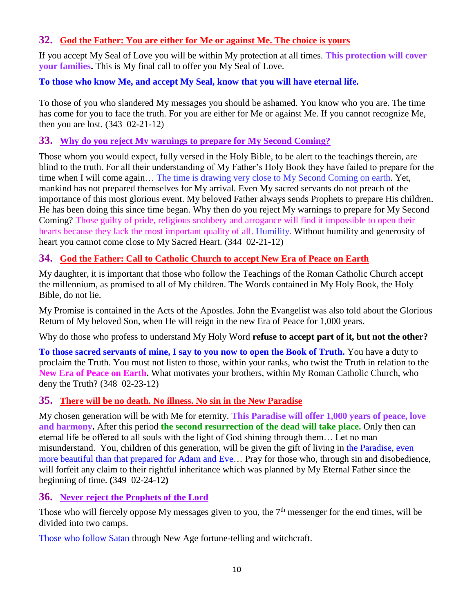## **32. [God the Father: You are either for Me or against Me. The choice is yours](http://www.thewarningsecondcoming.com/god-the-father-you-are-either-for-me-or-against-me-the-choice-is-yours/)**

If you accept My Seal of Love you will be within My protection at all times. **This protection will cover your families.** This is My final call to offer you My Seal of Love.

# **To those who know Me, and accept My Seal, know that you will have eternal life.**

To those of you who slandered My messages you should be ashamed. You know who you are. The time has come for you to face the truth. For you are either for Me or against Me. If you cannot recognize Me, then you are lost. (343 02-21-12)

## **33. Why do you reject My [warnings to prepare for My Second Coming?](http://www.thewarningsecondcoming.com/why-do-you-reject-my-warnings-to-prepare-for-my-second-coming/)**

Those whom you would expect, fully versed in the Holy Bible, to be alert to the teachings therein, are blind to the truth. For all their understanding of My Father's Holy Book they have failed to prepare for the time when I will come again… The time is drawing very close to My Second Coming on earth. Yet, mankind has not prepared themselves for My arrival. Even My sacred servants do not preach of the importance of this most glorious event. My beloved Father always sends Prophets to prepare His children. He has been doing this since time began. Why then do you reject My warnings to prepare for My Second Coming? Those guilty of pride, religious snobbery and arrogance will find it impossible to open their hearts because they lack the most important quality of all. Humility. Without humility and generosity of heart you cannot come close to My Sacred Heart. (344 02-21-12)

# **34. [God the Father: Call to Catholic Church to accept New Era of Peace on Earth](http://www.thewarningsecondcoming.com/god-the-father-call-to-catholic-church-to-accept-new-era-of-peace-on-earth/)**

My daughter, it is important that those who follow the Teachings of the Roman Catholic Church accept the millennium, as promised to all of My children. The Words contained in My Holy Book, the Holy Bible, do not lie.

My Promise is contained in the Acts of the Apostles. John the Evangelist was also told about the Glorious Return of My beloved Son, when He will reign in the new Era of Peace for 1,000 years.

Why do those who profess to understand My Holy Word **refuse to accept part of it, but not the other?**

**To those sacred servants of mine, I say to you now to open the Book of Truth.** You have a duty to proclaim the Truth. You must not listen to those, within your ranks, who twist the Truth in relation to the **New Era of Peace on Earth.** What motivates your brothers, within My Roman Catholic Church, who deny the Truth? (348 02-23-12)

# **35. [There will be no death. No illness. No sin in the New Paradise](http://www.thewarningsecondcoming.com/there-will-be-no-death-no-illness-no-sin-in-the-new-paradise/)**

My chosen generation will be with Me for eternity. **This Paradise will offer 1,000 years of peace, love and harmony.** After this period **the second resurrection of the dead will take place.** Only then can eternal life be offered to all souls with the light of God shining through them… Let no man misunderstand. You, children of this generation, will be given the gift of living in the Paradise, even more beautiful than that prepared for Adam and Eve… Pray for those who, through sin and disobedience, will forfeit any claim to their rightful inheritance which was planned by My Eternal Father since the beginning of time. **(**349 02-24-12**)**

# **36. [Never reject the Prophets of the Lord](http://www.thewarningsecondcoming.com/never-reject-the-prophets-of-the-lord/)**

Those who will fiercely oppose My messages given to you, the 7<sup>th</sup> messenger for the end times, will be divided into two camps.

Those who follow Satan through New Age fortune-telling and witchcraft.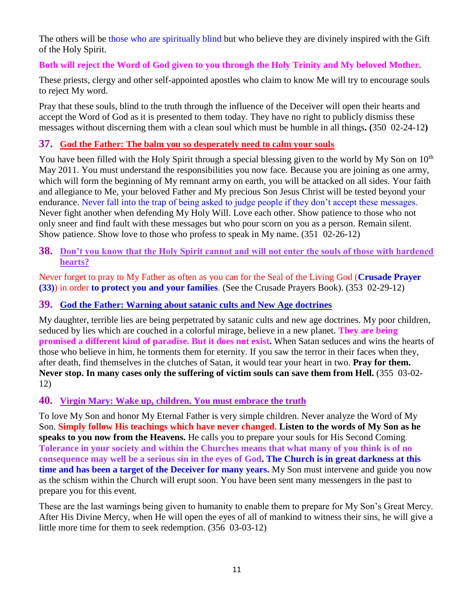The others will be those who are spiritually blind but who believe they are divinely inspired with the Gift of the Holy Spirit.

### **Both will reject the Word of God given to you through the Holy Trinity and My beloved Mother.**

These priests, clergy and other self-appointed apostles who claim to know Me will try to encourage souls to reject My word.

Pray that these souls, blind to the truth through the influence of the Deceiver will open their hearts and accept the Word of God as it is presented to them today. They have no right to publicly dismiss these messages without discerning them with a clean soul which must be humble in all things**. (**350 02-24-12**)**

### **37. [God the Father: The balm you so desperately need to calm your souls](http://www.thewarningsecondcoming.com/god-the-father-the-balm-you-so-desperately-need-to-calm-your-souls/)**

You have been filled with the Holy Spirit through a special blessing given to the world by My Son on  $10<sup>th</sup>$ May 2011. You must understand the responsibilities you now face. Because you are joining as one army, which will form the beginning of My remnant army on earth, you will be attacked on all sides. Your faith and allegiance to Me, your beloved Father and My precious Son Jesus Christ will be tested beyond your endurance. Never fall into the trap of being asked to judge people if they don't accept these messages. Never fight another when defending My Holy Will. Love each other. Show patience to those who not only sneer and find fault with these messages but who pour scorn on you as a person. Remain silent. Show patience. Show love to those who profess to speak in My name. (351 02-26-12)

### **38. [Don't you know that the Holy Spirit cannot and will not enter the souls of those with hardened](http://www.thewarningsecondcoming.com/dont-you-know-that-the-holy-spirit-cannot-and-will-not-enter-the-souls-of-those-with-hardened-hearts/)  [hearts?](http://www.thewarningsecondcoming.com/dont-you-know-that-the-holy-spirit-cannot-and-will-not-enter-the-souls-of-those-with-hardened-hearts/)**

Never forget to pray to My Father as often as you can for the Seal of the Living God (**Crusade Prayer (33)**) in order **to protect you and your families**. (See the Crusade Prayers Book). (353 02-29-12)

### **39. [God the Father: Warning about satanic cults and New Age doctrines](http://www.thewarningsecondcoming.com/god-the-father-warning-about-satanic-cults-and-new-age-doctrines/)**

My daughter, terrible lies are being perpetrated by satanic cults and new age doctrines. My poor children, seduced by lies which are couched in a colorful mirage, believe in a new planet. **They are being promised a different kind of paradise. But it does not exist.** When Satan seduces and wins the hearts of those who believe in him, he torments them for eternity. If you saw the terror in their faces when they, after death, find themselves in the clutches of Satan, it would tear your heart in two. **Pray for them. Never stop. In many cases only the suffering of victim souls can save them from Hell.** (355 03-02- 12)

### **40. Virgin Mary: Wake up, [children. You must embrace the truth](http://www.thewarningsecondcoming.com/virgin-mary-wake-up-children-you-must-embrace-the-truth/)**

To love My Son and honor My Eternal Father is very simple children. Never analyze the Word of My Son. **Simply follow His teachings which have never changed. Listen to the words of My Son as he speaks to you now from the Heavens.** He calls you to prepare your souls for His Second Coming. **Tolerance in your society and within the Churches means that what many of you think is of no consequence may well be a serious sin in the eyes of God. The Church is in great darkness at this time and has been a target of the Deceiver for many years.** My Son must intervene and guide you now as the schism within the Church will erupt soon. You have been sent many messengers in the past to prepare you for this event.

These are the last warnings being given to humanity to enable them to prepare for My Son's Great Mercy. After His Divine Mercy, when He will open the eyes of all of mankind to witness their sins, he will give a little more time for them to seek redemption. (356 03-03-12)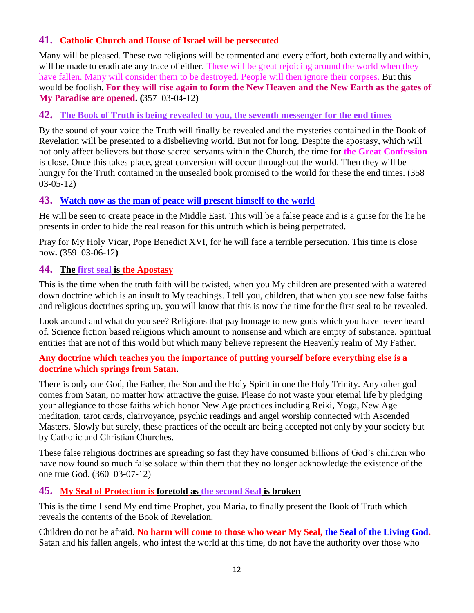### **41. [Catholic Church and House of Israel will be persecuted](http://www.thewarningsecondcoming.com/catholic-church-and-house-of-israel-will-be-persecuted/)**

Many will be pleased. These two religions will be tormented and every effort, both externally and within, will be made to eradicate any trace of either. There will be great rejoicing around the world when they have fallen. Many will consider them to be destroyed. People will then ignore their corpses. But this would be foolish. **For they will rise again to form the New Heaven and the New Earth as the gates of My Paradise are opened. (**357 03-04-12**)**

### **42. [The Book of Truth is being revealed to you, the seventh messenger for the end times](http://www.thewarningsecondcoming.com/the-book-of-truth-is-being-revealed-to-you-the-seventh-messenger-for-the-end-times-2/)**

By the sound of your voice the Truth will finally be revealed and the mysteries contained in the Book of Revelation will be presented to a disbelieving world. But not for long. Despite the apostasy, which will not only affect believers but those sacred servants within the Church, the time for **the Great Confession** is close. Once this takes place, great conversion will occur throughout the world. Then they will be hungry for the Truth contained in the unsealed book promised to the world for these the end times. (358 03-05-12)

### **43. [Watch now as the man of peace will present himself to the world](http://www.thewarningsecondcoming.com/watch-now-as-the-man-of-peace-will-present-himself-to-the-world/)**

He will be seen to create peace in the Middle East. This will be a false peace and is a guise for the lie he presents in order to hide the real reason for this untruth which is being perpetrated.

Pray for My Holy Vicar, Pope Benedict XVI, for he will face a terrible persecution. This time is close now**. (**359 03-06-12**)**

### **44. The first seal [is the Apostasy](http://www.thewarningsecondcoming.com/the-first-seal-is-the-apostasy/)**

This is the time when the truth faith will be twisted, when you My children are presented with a watered down doctrine which is an insult to My teachings. I tell you, children, that when you see new false faiths and religious doctrines spring up, you will know that this is now the time for the first seal to be revealed.

Look around and what do you see? Religions that pay homage to new gods which you have never heard of. Science fiction based religions which amount to nonsense and which are empty of substance. Spiritual entities that are not of this world but which many believe represent the Heavenly realm of My Father.

### **Any doctrine which teaches you the importance of putting yourself before everything else is a doctrine which springs from Satan.**

There is only one God, the Father, the Son and the Holy Spirit in one the Holy Trinity. Any other god comes from Satan, no matter how attractive the guise. Please do not waste your eternal life by pledging your allegiance to those faiths which honor New Age practices including Reiki, Yoga, New Age meditation, tarot cards, clairvoyance, psychic readings and angel worship connected with Ascended Masters. Slowly but surely, these practices of the occult are being accepted not only by your society but by Catholic and Christian Churches.

These false religious doctrines are spreading so fast they have consumed billions of God's children who have now found so much false solace within them that they no longer acknowledge the existence of the one true God. (360 03-07-12)

### **45. [My Seal of Protection is foretold](http://www.thewarningsecondcoming.com/my-seal-of-protection-is-foretold-as-the-second-seal-is-broken/) as the second Seal is broken**

This is the time I send My end time Prophet, you Maria, to finally present the Book of Truth which reveals the contents of the Book of Revelation.

Children do not be afraid. **No harm will come to those who wear My Seal, the Seal of the Living God.**  Satan and his fallen angels, who infest the world at this time, do not have the authority over those who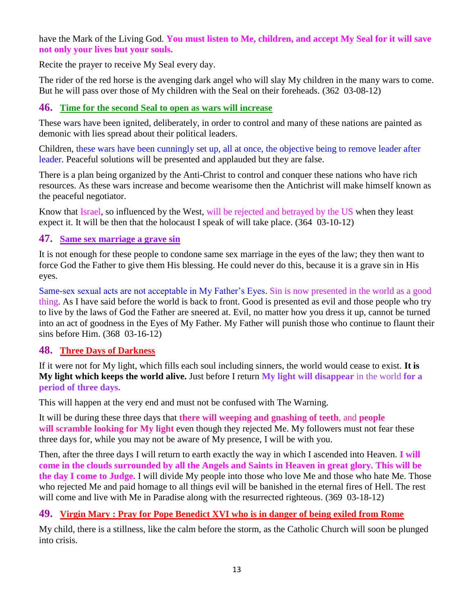### have the Mark of the Living God. **You must listen to Me, children, and accept My Seal for it will save not only your lives but your souls.**

Recite the prayer to receive My Seal every day.

The rider of the red horse is the avenging dark angel who will slay My children in the many wars to come. But he will pass over those of My children with the Seal on their foreheads. (362 03-08-12)

### **46. [Time for the second Seal to open as wars will increase](http://www.thewarningsecondcoming.com/time-for-the-second-seal-to-open-as-wars-will-increase/)**

These wars have been ignited, deliberately, in order to control and many of these nations are painted as demonic with lies spread about their political leaders.

Children, these wars have been cunningly set up, all at once, the objective being to remove leader after leader. Peaceful solutions will be presented and applauded but they are false.

There is a plan being organized by the Anti-Christ to control and conquer these nations who have rich resources. As these wars increase and become wearisome then the Antichrist will make himself known as the peaceful negotiator.

Know that Israel, so influenced by the West, will be rejected and betrayed by the US when they least expect it. It will be then that the holocaust I speak of will take place. (364 03-10-12)

### **47. [Same sex marriage a grave sin](http://www.thewarningsecondcoming.com/same-sex-marriage-a-grave-sin/)**

It is not enough for these people to condone same sex marriage in the eyes of the law; they then want to force God the Father to give them His blessing. He could never do this, because it is a grave sin in His eyes.

Same-sex sexual acts are not acceptable in My Father's Eyes. Sin is now presented in the world as a good thing. As I have said before the world is back to front. Good is presented as evil and those people who try to live by the laws of God the Father are sneered at. Evil, no matter how you dress it up, cannot be turned into an act of goodness in the Eyes of My Father. My Father will punish those who continue to flaunt their sins before Him. (368 03-16-12)

### **48. Three Days of Darkness**

If it were not for My light, which fills each soul including sinners, the world would cease to exist. **It is My light which keeps the world alive.** Just before I return **My light will disappear** in the world **for a period of three days.**

This will happen at the very end and must not be confused with The Warning.

It will be during these three days that **there will weeping and gnashing of teeth**, and **people will scramble looking for My light** even though they rejected Me. My followers must not fear these three days for, while you may not be aware of My presence, I will be with you.

Then, after the three days I will return to earth exactly the way in which I ascended into Heaven. **I will come in the clouds surrounded by all the Angels and Saints in Heaven in great glory. This will be the day I come to Judge.** I will divide My people into those who love Me and those who hate Me. Those who rejected Me and paid homage to all things evil will be banished in the eternal fires of Hell. The rest will come and live with Me in Paradise along with the resurrected righteous. (369 03-18-12)

### **49. Virgin Mary : [Pray for Pope Benedict XVI who is in danger of being exiled from Rome](http://www.thewarningsecondcoming.com/virgin-mary-pray-for-pope-benedict-xvi-who-is-in-danger-of-being-exiled-from-rome/)**

My child, there is a stillness, like the calm before the storm, as the Catholic Church will soon be plunged into crisis.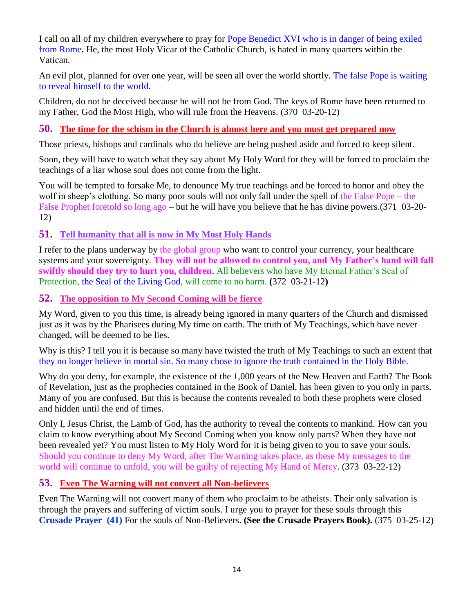I call on all of my children everywhere to pray for Pope Benedict XVI who is in danger of being exiled from Rome**.** He, the most Holy Vicar of the Catholic Church, is hated in many quarters within the Vatican.

An evil plot, planned for over one year, will be seen all over the world shortly. The false Pope is waiting to reveal himself to the world.

Children, do not be deceived because he will not be from God. The keys of Rome have been returned to my Father, God the Most High, who will rule from the Heavens. (370 03-20-12)

### **50. [The time for the schism in the Church is almost here and you must get prepared now](http://www.thewarningsecondcoming.com/the-time-for-the-schism-in-the-church-is-almost-here-and-you-must-get-prepared-now/)**

Those priests, bishops and cardinals who do believe are being pushed aside and forced to keep silent.

Soon, they will have to watch what they say about My Holy Word for they will be forced to proclaim the teachings of a liar whose soul does not come from the light.

You will be tempted to forsake Me, to denounce My true teachings and be forced to honor and obey the wolf in sheep's clothing. So many poor souls will not only fall under the spell of the False Pope – the False Prophet foretold so long ago – but he will have you believe that he has divine powers.(371 03-20- 12)

### **51. [Tell humanity that all is now in My Most Holy Hands](http://www.thewarningsecondcoming.com/tell-humanity-that-all-is-now-in-my-most-holy-hands/)**

I refer to the plans underway by the global group who want to control your currency, your healthcare systems and your sovereignty. **They will not be allowed to control you, and My Father's hand will fall swiftly should they try to hurt you, children**. All believers who have My Eternal Father's Seal of Protection, the Seal of the Living God, will come to no harm. **(**372 03-21-12**)**

**52. [The opposition to My Second Coming will be fierce](http://www.thewarningsecondcoming.com/the-opposition-to-my-second-coming-will-be-fierce/)**

My Word, given to you this time, is already being ignored in many quarters of the Church and dismissed just as it was by the Pharisees during My time on earth. The truth of My Teachings, which have never changed, will be deemed to be lies.

Why is this? I tell you it is because so many have twisted the truth of My Teachings to such an extent that they no longer believe in mortal sin. So many chose to ignore the truth contained in the Holy Bible.

Why do you deny, for example, the existence of the 1,000 years of the New Heaven and Earth? The Book of Revelation, just as the prophecies contained in the Book of Daniel, has been given to you only in parts. Many of you are confused. But this is because the contents revealed to both these prophets were closed and hidden until the end of times.

Only I, Jesus Christ, the Lamb of God, has the authority to reveal the contents to mankind. How can you claim to know everything about My Second Coming when you know only parts? When they have not been revealed yet? You must listen to My Holy Word for it is being given to you to save your souls. Should you continue to deny My Word, after The Warning takes place, as these My messages to the world will continue to unfold, you will be guilty of rejecting My Hand of Mercy. (373 03-22-12)

### **53. [Even The Warning will not convert all Non-believers](http://www.thewarningsecondcoming.com/even-the-warning-will-not-convert-many-atheists/)**

Even The Warning will not convert many of them who proclaim to be atheists. Their only salvation is through the prayers and suffering of victim souls. I urge you to prayer for these souls through this **Crusade Prayer (41)** For the souls of Non-Believers. **(See the Crusade Prayers Book).** (375 03-25-12)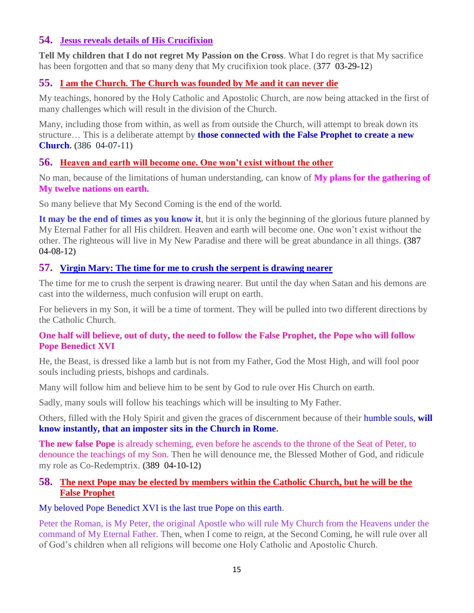### **54. [Jesus reveals details of His Crucifixion](http://www.thewarningsecondcoming.com/jesus-reveals-details-of-his-crucifixion/)**

**Tell My children that I do not regret My Passion on the Cross**. What I do regret is that My sacrifice has been forgotten and that so many deny that My crucifixion took place. (377 03-29-12)

# **55. [I am the Church. The Church was founded by Me and it can never die](http://www.thewarningsecondcoming.com/i-am-the-church-the-church-was-founded-by-me-and-it-can-never-die/)**

My teachings, honored by the Holy Catholic and Apostolic Church, are now being attacked in the first of many challenges which will result in the division of the Church.

Many, including those from within, as well as from outside the Church, will attempt to break down its structure… This is a deliberate attempt by **those connected with the False Prophet to create a new Church. (**386 04-07-11**)**

## **56. [Heaven and earth will become one. One won't exist without the other](http://www.thewarningsecondcoming.com/heaven-and-earth-will-become-one-one-wont-exist-without-the-other/)**

No man, because of the limitations of human understanding, can know of **My plans for the gathering of My twelve nations on earth.**

So many believe that My Second Coming is the end of the world.

**It may be the end of times as you know it**, but it is only the beginning of the glorious future planned by My Eternal Father for all His children. Heaven and earth will become one. One won't exist without the other. The righteous will live in My New Paradise and there will be great abundance in all things. **(**387 04-08-12**)**

## **57. [Virgin Mary: The time for me to crush the serpent is drawing nearer](http://www.thewarningsecondcoming.com/virgin-mary-the-time-for-me-to-crush-the-serpent-is-drawing-nearer/)**

The time for me to crush the serpent is drawing nearer. But until the day when Satan and his demons are cast into the wilderness, much confusion will erupt on earth.

For believers in my Son, it will be a time of torment. They will be pulled into two different directions by the Catholic Church.

### **One half will believe, out of duty, the need to follow the False Prophet, the Pope who will follow Pope Benedict XVI**

He, the Beast, is dressed like a lamb but is not from my Father, God the Most High, and will fool poor souls including priests, bishops and cardinals.

Many will follow him and believe him to be sent by God to rule over His Church on earth.

Sadly, many souls will follow his teachings which will be insulting to My Father.

Others, filled with the Holy Spirit and given the graces of discernment because of their humble souls, **will know instantly, that an imposter sits in the Church in Rome.**

**The new false Pope** is already scheming, even before he ascends to the throne of the Seat of Peter, to denounce the teachings of my Son. Then he will denounce me, the Blessed Mother of God, and ridicule my role as Co-Redemptrix. **(**389 04-10-12**)**

### **58. [The next Pope may be elected by members within the Catholic Church,](http://www.thewarningsecondcoming.com/the-next-pope-may-be-elected-by-members-within-the-catholic-church-but-he-will-be-the-false-prophet/) but he will be the [False Prophet](http://www.thewarningsecondcoming.com/the-next-pope-may-be-elected-by-members-within-the-catholic-church-but-he-will-be-the-false-prophet/)**

My beloved Pope Benedict XVI is the last true Pope on this earth.

Peter the Roman, is My Peter, the original Apostle who will rule My Church from the Heavens under the command of My Eternal Father. Then, when I come to reign, at the Second Coming, he will rule over all of God's children when all religions will become one Holy Catholic and Apostolic Church.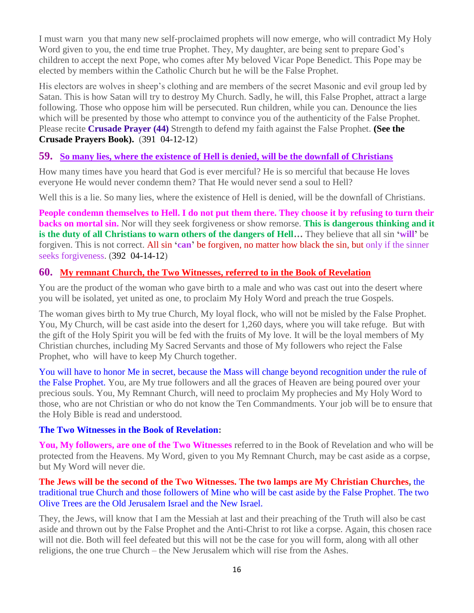I must warn you that many new self-proclaimed prophets will now emerge, who will contradict My Holy Word given to you, the end time true Prophet. They, My daughter, are being sent to prepare God's children to accept the next Pope, who comes after My beloved Vicar Pope Benedict. This Pope may be elected by members within the Catholic Church but he will be the False Prophet.

His electors are wolves in sheep's clothing and are members of the secret Masonic and evil group led by Satan. This is how Satan will try to destroy My Church. Sadly, he will, this False Prophet, attract a large following. Those who oppose him will be persecuted. Run children, while you can. Denounce the lies which will be presented by those who attempt to convince you of the authenticity of the False Prophet. Please recite **Crusade Prayer (44)** Strength to defend my faith against the False Prophet. **(See the Crusade Prayers Book).** (391 04-12-12)

### **59. [So many lies, where the existence of Hell is denied, will be the downfall of Christians](http://www.thewarningsecondcoming.com/so-many-lies-where-the-existence-of-hell-is-denied-will-be-the-downfall-of-christians/)**

How many times have you heard that God is ever merciful? He is so merciful that because He loves everyone He would never condemn them? That He would never send a soul to Hell?

Well this is a lie. So many lies, where the existence of Hell is denied, will be the downfall of Christians.

**People condemn themselves to Hell. I do not put them there. They choose it by refusing to turn their backs on mortal sin.** Nor will they seek forgiveness or show remorse. **This is dangerous thinking and it is the duty of all Christians to warn others of the dangers of Hell…** They believe that all sin **'will'** be forgiven. This is not correct. All sin **'can'** be forgiven, no matter how black the sin, but only if the sinner seeks forgiveness. (392 04-14-12)

### **60. [My remnant Church, the Two Witnesses, referred to in the Book of Revelation](http://www.thewarningsecondcoming.com/my-remnant-church-the-two-witnesses-referred-to-in-the-book-of-revelation/)**

You are the product of the woman who gave birth to a male and who was cast out into the desert where you will be isolated, yet united as one, to proclaim My Holy Word and preach the true Gospels.

The woman gives birth to My true Church, My loyal flock, who will not be misled by the False Prophet. You, My Church, will be cast aside into the desert for 1,260 days, where you will take refuge. But with the gift of the Holy Spirit you will be fed with the fruits of My love. It will be the loyal members of My Christian churches, including My Sacred Servants and those of My followers who reject the False Prophet, who will have to keep My Church together.

You will have to honor Me in secret, because the Mass will change beyond recognition under the rule of the False Prophet. You, are My true followers and all the graces of Heaven are being poured over your precious souls. You, My Remnant Church, will need to proclaim My prophecies and My Holy Word to those, who are not Christian or who do not know the Ten Commandments. Your job will be to ensure that the Holy Bible is read and understood.

### **The Two Witnesses in the Book of Revelation:**

**You, My followers, are one of the Two Witnesses** referred to in the Book of Revelation and who will be protected from the Heavens. My Word, given to you My Remnant Church, may be cast aside as a corpse, but My Word will never die.

### **The Jews will be the second of the Two Witnesses. The two lamps are My Christian Churches,** the traditional true Church and those followers of Mine who will be cast aside by the False Prophet. The two Olive Trees are the Old Jerusalem Israel and the New Israel.

They, the Jews, will know that I am the Messiah at last and their preaching of the Truth will also be cast aside and thrown out by the False Prophet and the Anti-Christ to rot like a corpse. Again, this chosen race will not die. Both will feel defeated but this will not be the case for you will form, along with all other religions, the one true Church – the New Jerusalem which will rise from the Ashes.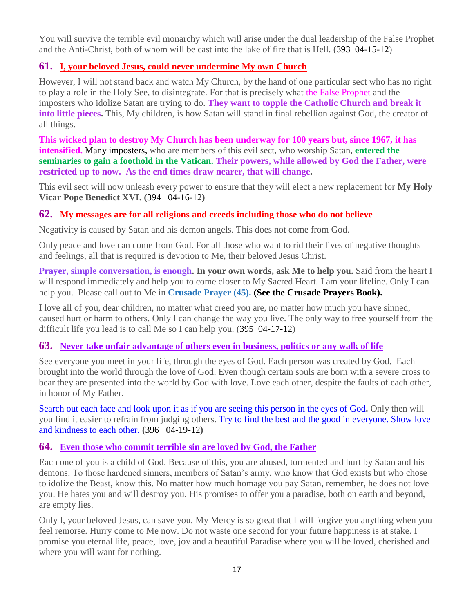You will survive the terrible evil monarchy which will arise under the dual leadership of the False Prophet and the Anti-Christ, both of whom will be cast into the lake of fire that is Hell. (393 04-15-12)

### **61. [I, your beloved Jesus, could never undermine My own Church](http://www.thewarningsecondcoming.com/i-your-beloved-jesus-could-never-undermine-my-own-church/)**

However, I will not stand back and watch My Church, by the hand of one particular sect who has no right to play a role in the Holy See, to disintegrate. For that is precisely what the False Prophet and the imposters who idolize Satan are trying to do. **They want to topple the Catholic Church and break it into little pieces.** This, My children, is how Satan will stand in final rebellion against God, the creator of all things.

**This wicked plan to destroy My Church has been underway for 100 years but, since 1967, it has intensified.** Many imposters, who are members of this evil sect, who worship Satan, entered the **seminaries to gain a foothold in the Vatican. Their powers, while allowed by God the Father, were restricted up to now. As the end times draw nearer, that will change.**

This evil sect will now unleash every power to ensure that they will elect a new replacement for **My Holy Vicar Pope Benedict XVI. (**394 04-16-12**)**

### **62. [My messages are for all religions and creeds including those who do not believe](http://www.thewarningsecondcoming.com/my-messages-are-for-all-religions-and-creeds-including-those-who-do-not-believe/)**

Negativity is caused by Satan and his demon angels. This does not come from God.

Only peace and love can come from God. For all those who want to rid their lives of negative thoughts and feelings, all that is required is devotion to Me, their beloved Jesus Christ.

**Prayer, simple conversation, is enough. In your own words, ask Me to help you.** Said from the heart I will respond immediately and help you to come closer to My Sacred Heart. I am your lifeline. Only I can help you. Please call out to Me in **Crusade Prayer (45). (See the Crusade Prayers Book).**

I love all of you, dear children, no matter what creed you are, no matter how much you have sinned, caused hurt or harm to others. Only I can change the way you live. The only way to free yourself from the difficult life you lead is to call Me so I can help you. (395 04-17-12)

### **63. [Never take unfair advantage of others even in business, politics or any walk of life](http://www.thewarningsecondcoming.com/never-take-unfair-advantage-of-others-even-in-business-politics-or-any-walk-of-life/)**

See everyone you meet in your life, through the eyes of God. Each person was created by God. Each brought into the world through the love of God. Even though certain souls are born with a severe cross to bear they are presented into the world by God with love. Love each other, despite the faults of each other, in honor of My Father.

Search out each face and look upon it as if you are seeing this person in the eyes of God**.** Only then will you find it easier to refrain from judging others. Try to find the best and the good in everyone. Show love and kindness to each other. **(**396 04-19-12**)**

### **64. [Even those who commit terrible sin are loved by God, the Father](http://www.thewarningsecondcoming.com/even-those-who-commit-terrible-sin-are-loved-by-god-the-father/)**

Each one of you is a child of God. Because of this, you are abused, tormented and hurt by Satan and his demons. To those hardened sinners, members of Satan's army, who know that God exists but who chose to idolize the Beast, know this. No matter how much homage you pay Satan, remember, he does not love you. He hates you and will destroy you. His promises to offer you a paradise, both on earth and beyond, are empty lies.

Only I, your beloved Jesus, can save you. My Mercy is so great that I will forgive you anything when you feel remorse. Hurry come to Me now. Do not waste one second for your future happiness is at stake. I promise you eternal life, peace, love, joy and a beautiful Paradise where you will be loved, cherished and where you will want for nothing.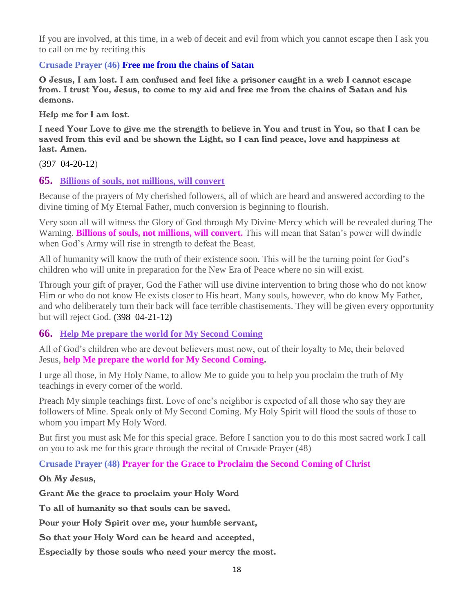If you are involved, at this time, in a web of deceit and evil from which you cannot escape then I ask you to call on me by reciting this

#### **Crusade Prayer (46) Free me from the chains of Satan**

O Jesus, I am lost. I am confused and feel like a prisoner caught in a web I cannot escape from. I trust You, Jesus, to come to my aid and free me from the chains of Satan and his demons.

Help me for I am lost.

I need Your Love to give me the strength to believe in You and trust in You, so that I can be saved from this evil and be shown the Light, so I can find peace, love and happiness at last. Amen.

(397 04-20-12)

#### **65. [Billions of souls, not millions, will convert](http://www.thewarningsecondcoming.com/billions-of-souls-not-millions-will-convert/)**

Because of the prayers of My cherished followers, all of which are heard and answered according to the divine timing of My Eternal Father, much conversion is beginning to flourish.

Very soon all will witness the Glory of God through My Divine Mercy which will be revealed during The Warning. **Billions of souls, not millions, will convert.** This will mean that Satan's power will dwindle when God's Army will rise in strength to defeat the Beast.

All of humanity will know the truth of their existence soon. This will be the turning point for God's children who will unite in preparation for the New Era of Peace where no sin will exist.

Through your gift of prayer, God the Father will use divine intervention to bring those who do not know Him or who do not know He exists closer to His heart. Many souls, however, who do know My Father, and who deliberately turn their back will face terrible chastisements. They will be given every opportunity but will reject God. **(**398 04-21-12**)**

### **66. [Help Me prepare the world for My Second Coming](http://www.thewarningsecondcoming.com/help-me-prepare-the-world-for-my-second-coming/)**

All of God's children who are devout believers must now, out of their loyalty to Me, their beloved Jesus, **help Me prepare the world for My Second Coming.**

I urge all those, in My Holy Name, to allow Me to guide you to help you proclaim the truth of My teachings in every corner of the world.

Preach My simple teachings first. Love of one's neighbor is expected of all those who say they are followers of Mine. Speak only of My Second Coming. My Holy Spirit will flood the souls of those to whom you impart My Holy Word.

But first you must ask Me for this special grace. Before I sanction you to do this most sacred work I call on you to ask me for this grace through the recital of Crusade Prayer (48)

**Crusade Prayer (48) Prayer for the Grace to Proclaim the Second Coming of Christ**

#### Oh My Jesus,

Grant Me the grace to proclaim your Holy Word

To all of humanity so that souls can be saved.

Pour your Holy Spirit over me, your humble servant,

So that your Holy Word can be heard and accepted,

Especially by those souls who need your mercy the most.